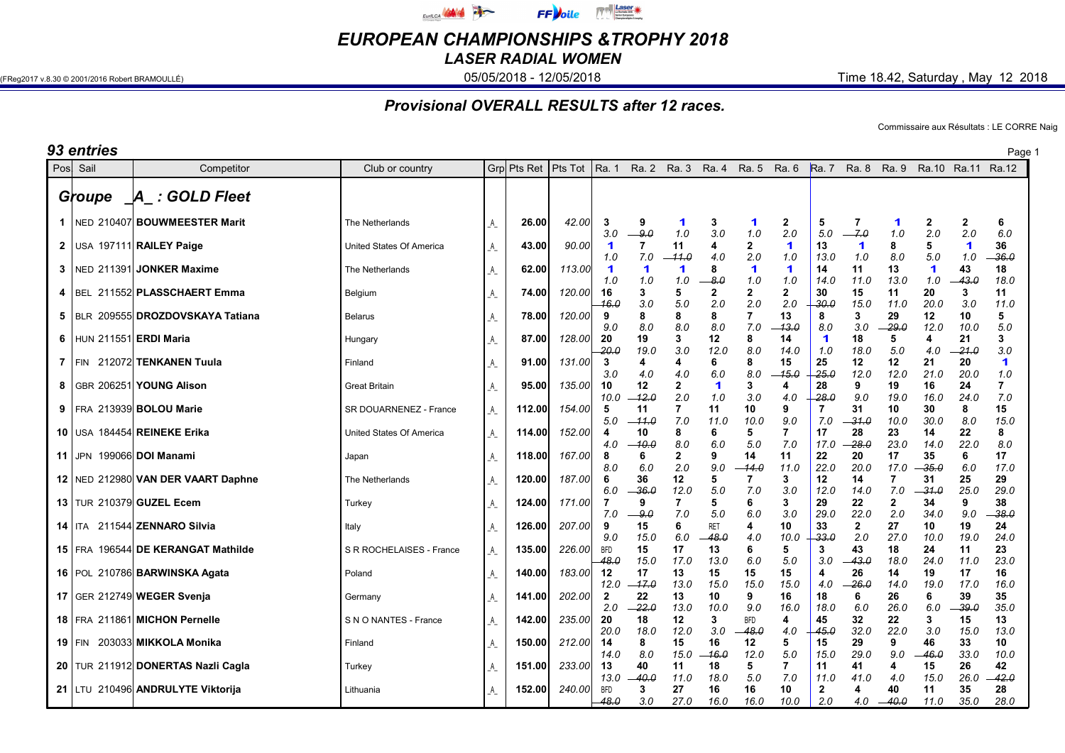

EUROPEAN CHAMPIONSHIPS &TROPHY 2018

LASER RADIAL WOMEN

(FReg2017 v.8.30 © 2001/2016 Robert BRAMOULLÉ) **05/05/2018 - 05/05/2018 - 12/05/2018** Time 18.42, Saturday , May 12 2018

## Provisional OVERALL RESULTS after 12 races.

Commissaire aux Résultats : LE CORRE Naig

| 93 entries |                                                           |                                                |          |                 |                  |                      |                     |                                     |                     |                           |                     |                    |                      |                     |                    |                     | Page 1                               |
|------------|-----------------------------------------------------------|------------------------------------------------|----------|-----------------|------------------|----------------------|---------------------|-------------------------------------|---------------------|---------------------------|---------------------|--------------------|----------------------|---------------------|--------------------|---------------------|--------------------------------------|
| Posl Sail  | Competitor                                                | Club or country                                |          | Grpl Pts Ret    | Pts Tot          | Ra. 1                |                     |                                     | Ra. 2 Ra. 3 Ra. 4   |                           | Ra. 5 Ra. 6         | <b>Ra.</b> 7       |                      | Ra. 8 Ra. 9 Ra.10   |                    | Ra.11 Ra.12         |                                      |
| Groupe     | A : GOLD Fleet                                            |                                                |          |                 |                  |                      |                     |                                     |                     |                           |                     |                    |                      |                     |                    |                     |                                      |
|            | 1   NED 210407 BOUWMEESTER Marit                          | The Netherlands                                | A        | 26.00           | 42.00            | 3<br>3.0             | 9<br>9.0            | 1<br>1.0                            | -3<br>3.0           | 1<br>1.0                  | $\mathbf{2}$<br>2.0 | 5<br>5.0           | 7<br>7.0             | 1<br>1.0            | 2<br>2.0           | 2<br>2.0            | 6<br>6.0                             |
|            | 2 USA 197111 RAILEY Paige                                 | United States Of America                       | _A_      | 43.00           | 90.00            | 1<br>1.0             | 7<br>7.0            | 11<br>$-11.0$                       | 4<br>4.0            | 2<br>2.0                  | 1<br>1.0            | 13<br>13.0         | -1<br>1.0            | 8<br>8.0            | 5<br>$5.0\,$       | 1<br>1.0            | 36<br>36.0                           |
|            | 3   NED 211391 JONKER Maxime                              | The Netherlands                                | _A_      | 62.00           | 113.00           | 1<br>1.0             | 1<br>1.0            | 1<br>1.0                            | -8<br>-8.0          | 1<br>1.0                  | 1<br>1.0            | 14<br>14.0         | 11<br>11.0           | 13<br>13.0          | $\mathbf 1$<br>1.0 | 43<br>43.0          | 18<br>18.0                           |
|            | 4   BEL 211552 PLASSCHAERT Emma                           | Belgium                                        | _A_      | 74.00           | 120.00           | 16<br>16.G           | 3<br>3.0            | 5<br>5.0                            | $\mathbf{2}$<br>2.0 | 2<br>2.0                  | $\mathbf{2}$<br>2.0 | 30<br>-30.0        | 15<br>15.0           | 11<br>11.0          | 20<br>20.0         | 3<br>3.0            | 11<br>11.0                           |
|            | 5   BLR 209555 DROZDOVSKAYA Tatiana                       | <b>Belarus</b>                                 | _A_      | 78.00           | 120.00           | 9<br>9.0             | 8<br>8.0            | 8<br>8.0                            | 8<br>8.0            | 7<br>7.0                  | 13<br>13.0          | 8<br>8.0           | 3<br>3.0             | 29<br>29.0          | 12<br>12.0         | 10<br>10.0          | 5<br>5.0                             |
|            | 6 HUN 211551 ERDI Maria                                   | Hungary                                        | _A_      | 87.00           | 128.00           | 20<br>-20.0          | 19<br>19.0          | 3<br>3.0                            | 12<br>12.0          | 8<br>8.0                  | 14<br>14.0          | 1<br>1.0           | 18<br>18.0           | 5<br>5.0            | 4<br>4.0           | 21<br>$-21.0$       | 3<br>3.0                             |
| $7$   FIN  | 212072 TENKANEN Tuula                                     | Finland                                        | _A_      | 91.00           | 131.00           | 3<br>3.0             | 4<br>4.0            | 4<br>4.0                            | 6<br>6.0            | 8<br>8.0<br>3             | 15<br>15.0          | 25<br>25.0         | 12<br>12.0           | 12<br>12.0          | 21<br>21.0         | 20<br>20.0          | 1<br>1.0                             |
|            | 8   GBR 206251 YOUNG Alison<br>9   FRA 213939 BOLOU Marie | <b>Great Britain</b><br>SR DOUARNENEZ - France | _A_      | 95.00<br>112.00 | 135.00<br>154.00 | 10<br>10.0<br>5      | 12<br>-12.0<br>11   | $\overline{\mathbf{2}}$<br>2.0<br>7 | 1<br>1.0<br>11      | 3.0<br>10                 | 4<br>4.0<br>9       | 28<br>-28.0<br>7   | 9<br>9.0<br>31       | 19<br>19.0<br>10    | 16<br>16.0<br>30   | 24<br>24.0<br>8     | $\overline{\mathbf{r}}$<br>7.0<br>15 |
|            | 10 USA 184454 REINEKE Erika                               | <b>United States Of America</b>                | _A_<br>A | 114.00          | 152.00           | 5.0<br>Δ             | -- 11.0<br>10       | 7.0<br>8                            | 11.0<br>6           | 10.0<br>5                 | 9.0<br>7            | 7.0<br>17          | -31.0<br>28          | 10.0<br>23          | 30.0<br>14         | 8.0<br>22           | 15.0<br>8                            |
|            | 11 JPN 199066 DOI Manami                                  | Japan                                          | A        | 118.00          | 167.00           | 4.0<br>8             | $-10.0$<br>6        | 8.0<br>$\overline{2}$               | 6.0<br>9            | 5.0<br>14                 | 7.0<br>11           | 17.0<br>22         | 28.0<br>20           | 23.0<br>17          | 14.0<br>35         | 22.0<br>6           | 8.0<br>17                            |
|            | 12 NED 212980 VAN DER VAART Daphne                        | The Netherlands                                | A        | 120.00          | 187.00           | 8.0<br>6             | 6.0<br>36           | 2.0<br>12                           | 9.0<br>5            | 14.0                      | 11.0<br>3           | 22.0<br>12         | 20.0<br>14           | 17.0<br>7           | 35.0<br>31         | 6.0<br>25           | 17.0<br>29                           |
|            | 13 TUR 210379 GUZEL Ecem                                  | Turkey                                         | A        | 124.00          | 171.00           | 6.0<br>7             | -36.0<br>9          | 12.0<br>7                           | 5.0<br>5            | 7.0<br>6                  | 3.0<br>3            | 12.0<br>29         | 14.0<br>22           | 7.0<br>$\mathbf{2}$ | -31.0<br>34        | 25.0<br>9           | 29.0<br>38                           |
|            | 14   ITA 211544 ZENNARO Silvia                            | Italy                                          | A        | 126.00          | 207.00           | 7.0<br>9             | -9.0<br>15          | 7.0<br>6                            | 5.0<br><b>RET</b>   | 6.0<br>4                  | 3.0<br>10           | 29.0<br>33         | 22.0<br>$\mathbf{2}$ | 2.0<br>27           | 34.0<br>10         | 9.0<br>19           | 38.0<br>24                           |
|            | 15 FRA 196544 DE KERANGAT Mathilde                        | S R ROCHELAISES - France                       | A        | 135.00          | 226.00           | 9.0<br><b>BFD</b>    | 15.0<br>15          | 6.0<br>17                           | 48.0<br>13          | 4.0<br>6                  | 10.0<br>5           | 33.0<br>3          | 2.0<br>43            | 27.0<br>18          | 10.0<br>24         | 19.0<br>11          | 24.0<br>23                           |
|            | 16   POL 210786 BARWINSKA Agata                           | Poland                                         | _A_      | 140.00          | 183.00           | 48.0<br>12           | 15.0<br>17          | 17.0<br>13                          | 13.0<br>15          | 6.0<br>15                 | 5.0<br>15           | 3.0<br>4           | 43.0<br>26           | 18.0<br>14          | 24.0<br>19         | 11.0<br>17          | 23.0<br>16                           |
|            | 17 GER 212749 WEGER Svenja                                | Germany                                        | _A_      | 141.00          | 202.00           | 12.0<br>$\mathbf{2}$ | $-17.0$<br>22       | 13.0<br>13                          | 15.0<br>10          | 15.0<br>9                 | 15.0<br>16          | 4.0<br>18          | $-26.0$<br>6         | 14.0<br>26          | 19.0<br>6          | 17.0<br>39          | 16.0<br>35                           |
|            | 18   FRA 211861 MICHON Pernelle                           | S N O NANTES - France                          | _A_      | 142.00          | 235.00           | 2.0<br>20<br>20.0    | -22.0<br>18<br>18.0 | 13.0<br>12<br>12.0                  | 10.0<br>3<br>3.0    | 9.0<br><b>BFD</b><br>48.0 | 16.0<br>4<br>4.0    | 18.0<br>45<br>45.0 | 6.0<br>32<br>32.0    | 26.0<br>22<br>22.0  | 6.0<br>3<br>3.0    | -39.0<br>15<br>15.0 | 35.0<br>13<br>13.0                   |
| 19 $ FIN$  | 203033 MIKKOLA Monika                                     | Finland                                        | _A_      | 150.00          | 212.00           | 14<br>14.0           | 8<br>8.0            | 15<br>15.0                          | 16<br>-16.0         | 12<br>12.0                | 5<br>5.0            | 15<br>15.0         | 29<br>29.0           | 9<br>9.0            | 46<br>-46.0        | 33<br>33.0          | 10<br>10.0                           |
|            | 20 TUR 211912 DONERTAS Nazli Cagla                        | Turkey                                         | _A_      | 151.00          | 233.00           | 13<br>13.0           | 40<br>$-40.0$       | 11<br>11.0                          | 18<br>18.0          | 5<br>5.0                  | 7<br>7.0            | 11<br>11.0         | 41<br>41.0           | 4<br>4.0            | 15<br>15.0         | 26<br>26.0          | 42<br>42.0                           |
|            | 21 LTU 210496 ANDRULYTE Viktorija                         | Lithuania                                      | _A_      | 152.00          | 240.00           | <b>BFD</b><br>48.0   | 3<br>3.0            | 27<br>27.0                          | 16<br>16.0          | 16<br>16.0                | 10<br>10.0          | 2<br>2.0           | 4<br>4.0             | 40<br>$-40.0$       | 11<br>11.0         | 35<br>35.0          | 28<br>28.0                           |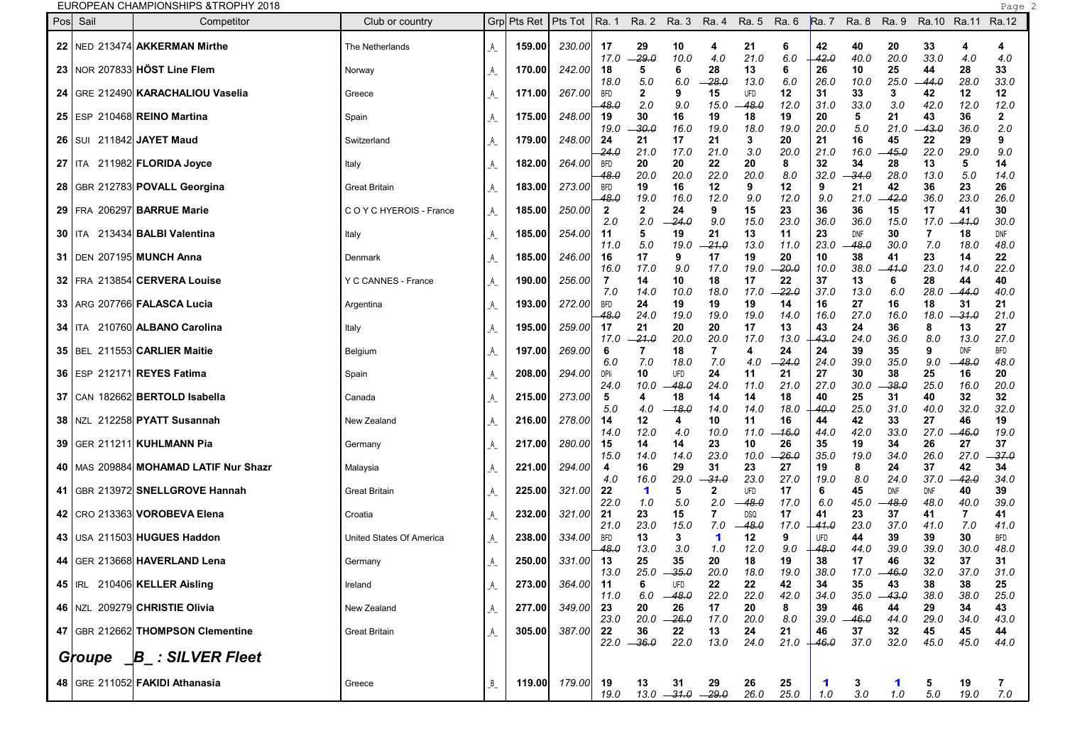## **EUROPEAN CHAMPIONSHIPS &TROPHY 2018**

| Pos | Sail     | Competitor                                | Club or country          |                           | Grpl Pts Ret | Pts Tot       | Ra. 1                |                     | Ra. 2 Ra. 3          | Ra. 4                 | Ra. 5 Ra. 6 |             | <b>Ra.</b> 7  | Ra. 8         | Ra. 9              | Ra.10 Ra.11 Ra.12 |                    |                    |
|-----|----------|-------------------------------------------|--------------------------|---------------------------|--------------|---------------|----------------------|---------------------|----------------------|-----------------------|-------------|-------------|---------------|---------------|--------------------|-------------------|--------------------|--------------------|
|     |          | 22   NED 213474 AKKERMAN Mirthe           | The Netherlands          | A                         | 159.00       | 230.00        | 17                   | 29                  | 10                   | 4                     | 21          | 6           | 42            | 40            | 20                 | 33                | 4                  | 4                  |
|     |          | 23   NOR 207833 HÖST Line Flem            | Norway                   | $\mathbb{A}_{\mathbb{Z}}$ | 170.00       | 242.00        | 17.0<br>18           | -29.0<br>5          | 10.0<br>6            | 4.0<br>28             | 21.0<br>13  | 6.0<br>6    | 42.0<br>26    | 40.0<br>10    | 20.0<br>25         | 33.0<br>44        | 4.0<br>28          | 4.0<br>33          |
|     |          | 24 GRE 212490 KARACHALIOU Vaselia         | Greece                   | _A_                       | 171.00       | 267.00        | 18.0<br>BFD          | 5.0<br>2            | 6.0<br>9             | $-28.0$<br>15         | 13.0<br>UFD | 6.0<br>12   | 26.0<br>31    | 10.0<br>33    | 25.0<br>3          | -44.0<br>42       | 28.0<br>12         | 33.0<br>12         |
|     |          | 25   ESP 210468 REINO Martina             | Spain                    | _A_                       | 175.00       | 248.00        | 48.0<br>19           | 2.0<br>30           | 9.0<br>16            | 15.0<br>19            | 48.0<br>18  | 12.0<br>19  | 31.0<br>20    | 33.0<br>5     | 3.0<br>21          | 42.0<br>43        | 12.0<br>36         | 12.0<br>2          |
|     |          | 26   SUI 211842 JAYET Maud                | Switzerland              | A                         | 179.00       | 248.00        | 19.0<br>24           | -30.0<br>21         | 16.0<br>17           | 19.0<br>21            | 18.0<br>3   | 19.0<br>20  | 20.0<br>21    | 5.0<br>16     | 21.0<br>45         | 43.0<br>22        | 36.O<br>29         | 2.0<br>9           |
|     |          | 27   ITA 211982 FLORIDA Joyce             | Italy                    | A                         | 182.00       | 264.00        | 24.0<br><b>BFD</b>   | 21.0<br>20          | 17.0<br>20           | 21.0<br>22            | 3.0<br>20   | 20.0<br>8   | 21.0<br>32    | 16.0<br>34    | 45.0<br>28         | 22.0<br>13        | 29.0<br>5          | 9.0<br>14          |
|     |          | 28   GBR 212783 POVALL Georgina           | <b>Great Britain</b>     | A                         | 183.00       | 273.00        | 48.0<br><b>BFD</b>   | 20.0<br>19          | 20.0<br>16           | 22.0<br>12            | 20.0<br>9   | 8.0<br>12   | 32.0<br>9     | 34.0<br>21    | 28.0<br>42         | 13.0<br>36        | 5.0<br>23          | 14.0<br>26         |
|     |          | 29   FRA 206297 BARRUE Marie              | COYCHYEROIS - France     |                           | 185.00       | 250.00        | 48.0<br>$\mathbf{2}$ | 19.0<br>2           | 16.0<br>24           | 12.0<br>9             | 9.0<br>15   | 12.0<br>23  | 9.0<br>36     | 21.0<br>36    | 42.0<br>15         | 36.0<br>17        | 23.0<br>41         | 26.0<br>30         |
|     |          |                                           |                          | _A_                       |              |               | 2.0                  | 2.0                 | 24.0                 | 9.0                   | 15.0        | 23.0        | 36.0          | 36.0          | 15.0               | 17.0              | $-41.0$            | 30.0               |
|     |          | <b>30   ITA 213434 BALBI Valentina</b>    | Italy                    | _A_                       | 185.00       | 254.00        | 11<br>11.0           | 5<br>5.0            | 19<br>19.0           | 21<br>-21.0           | 13<br>13.0  | 11<br>11.0  | 23<br>23.0    | DNF<br>48.0   | 30<br>30.0         | 7<br>7.0          | 18<br>18.0         | DNF<br>48.0        |
|     |          | 31   DEN 207195 MUNCH Anna                | Denmark                  | _A_                       | 185.00       | 246.00        | 16<br>16.0           | 17<br>17.0          | 9<br>9.0             | 17<br>17.0            | 19<br>19.0  | 20<br>-20.0 | 10<br>10.0    | 38<br>38.0    | 41<br>41.0         | 23<br>23.0        | 14<br>14.0         | 22<br>22.0         |
|     |          | 32   FRA 213854 CERVERA Louise            | Y C CANNES - France      | _A_                       | 190.00       | 256.00        | -7<br>7.0            | 14<br>14.0          | 10<br>10.0           | 18<br>18.0            | 17<br>17.0  | 22<br>22.0  | 37<br>37.0    | 13<br>13.0    | 6<br>6.0           | 28<br>28.0        | 44<br>-44.0        | 40<br>40.O         |
|     |          | 33   ARG 207766   FALASCA Lucia           | Argentina                | _A_                       | 193.00       | 272.00        | <b>BFD</b><br>48.0   | 24<br>24.0          | 19<br>19.0           | 19<br>19.0            | 19<br>19.0  | 14<br>14.0  | 16<br>16.0    | 27<br>27.0    | 16<br>16.0         | 18<br>18.0        | 31<br>-31.0        | 21<br>21.0         |
|     | 34   ITA | 210760 ALBANO Carolina                    | Italy                    |                           | 195.00       | 259.00        | 17<br>17.0           | 21<br>-21.0         | 20<br>20.0           | 20<br>20.0            | 17<br>17.0  | 13<br>13.0  | 43<br>43.0    | 24<br>24.0    | 36<br>36.0         | 8<br>8.0          | 13<br>13.0         | 27<br>27.0         |
|     |          | 35   BEL 211553 CARLIER Maitie            | Belgium                  | _A_                       | 197.00       | 269.00        | 6<br>6.0             | 7<br>7.0            | 18<br>18.0           | 7<br>7.0              | 4<br>4.0    | 24<br>24.0  | 24<br>24.0    | 39<br>39.0    | 35<br>35.0         | 9<br>9.0          | <b>DNF</b><br>48.0 | <b>BFD</b><br>48.0 |
|     |          | 36   ESP 212171 REYES Fatima              | Spain                    | A                         | 208.00       | 294.00        | DPIi                 | 10                  | <b>UFD</b>           | 24                    | 11          | 21          | 27<br>27.0    | 30            | 38                 | 25                | 16                 | 20                 |
|     |          | 37   CAN 182662 BERTOLD Isabella          | Canada                   | _A_                       | 215.00       | 273.00        | 24.0<br>5            | 10.0<br>4           | 48.0<br>18           | 24.0<br>14            | 11.0<br>14  | 21.0<br>18  | 40            | 30.0<br>25    | -38.0<br>31        | 25.0<br>40        | 16.0<br>32         | 20.0<br>32         |
|     |          | 38 NZL 212258 PYATT Susannah              | New Zealand              | _A_                       | 216.00       | 278.00        | 5.0<br>14            | 4.0<br>12           | -18.0<br>4           | 14.C<br>10            | 14.0<br>11  | 18.0<br>16  | 40.0<br>44    | 25.0<br>42    | 31.0<br>33         | 40.O<br>27        | 32.0<br>46         | 32.0<br>19         |
|     |          | 39   GER 211211   KUHLMANN Pia            | Germany                  | $\mathcal{A}_{\_}$        | 217.00       | 280.00        | 14.0<br>15           | 12.0<br>14          | 4.0<br>14            | 10.0<br>23            | 11.0<br>10  | 16.0<br>26  | 44.0<br>35    | 42.0<br>19    | 33.0<br>34         | 27.0<br>26        | 46.0<br>27         | 19.0<br>37         |
|     |          | 40   MAS 209884   MOHAMAD LATIF Nur Shazr | Malaysia                 | A_                        | 221.00       | 294.00        | 15.0<br>4            | 14.0<br>16          | 14.0<br>29           | 23.0<br>31            | 10.0<br>23  | 26.0<br>27  | 35.0<br>19    | 19.0<br>8     | 34.0<br>24         | 26.0<br>37        | 27.0<br>42         | -37.0<br>34        |
|     |          | 41   GBR 213972 SNELLGROVE Hannah         | <b>Great Britain</b>     | $\mathcal{A}_{\_}$        | 225.00       | 321.00        | 4.0<br>22            | 16.0<br>1           | 29.0<br>5            | -31.0<br>2            | 23.0<br>UFD | 27.0<br>17  | 19.0<br>6     | 8.0<br>45     | 24.0<br><b>DNF</b> | 37.0<br>DNF       | 42.0<br>40         | 34.0<br>39         |
|     |          | 42   CRO 213363 VOROBEVA Elena            | Croatia                  | _A_                       | 232.00       | 321.00        | 22.0<br>21           | 1.0<br>23           | 5.0<br>15            | 2.0<br>$\overline{7}$ | 48.0<br>DSQ | 17.0<br>17  | 6.0<br>41     | 45.0<br>23    | -48.0<br>37        | 48.0<br>41        | 40.0<br>7          | 39.0<br>41         |
|     |          | 43   USA 211503 HUGUES Haddon             | United States Of America | _A_                       | 238.00       | 334.00        | 21.0<br>BFD          | 23.0<br>13          | 15.0<br>3            | 7.0<br>1              | 48.0<br>12  | 17.0<br>9   | -41.0<br>UFD  | 23.0<br>44    | 37.0<br>39         | 41.0<br>39        | 7.0<br>30          | 41.0<br>BFD        |
|     |          | 44   GER 213668 HAVERLAND Lena            | Germany                  |                           | 250.00       | 331.00        | 48.0<br>13           | 13.0<br>25          | 3.0<br>35            | 1.0<br>20             | 12.0<br>18  | 9.0<br>19   | 48.0<br>38    | 44.0<br>17    | 39.0<br>46         | 39.O<br>32        | 30.0<br>37         | 48.0<br>31         |
|     |          |                                           |                          | $A_{-}$                   |              |               | 13.0                 | 25.0                | - 35.0               | 20.0                  | 18.0        | 19.0        | 38.0          | 17.0          | $-46.0$            | 32.0              | 37.0               | 31.0               |
|     |          | 45   IRL 210406 KELLER Aisling            | Ireland                  | _A_                       | 273.00       | 364.00        | 11<br>11.0           | 6<br>6.0            | UFD<br>$-48.0$       | 22<br>22.0            | 22<br>22.0  | 42<br>42.0  | 34<br>34.0    | 35<br>35.0    | 43<br>$-43.0$      | 38<br>38.0        | 38<br>38.0         | 25<br>25.0         |
|     |          | 46 NZL 209279 CHRISTIE Olivia             | New Zealand              | _A_                       | 277.00       | 349.00        | 23<br>23.0           | 20                  | 26<br>$20.0 -26.0$   | 17<br>17.0            | 20<br>20.0  | 8<br>8.0    | 39<br>39.0    | 46<br>$-46.0$ | 44<br>44.0         | 29<br>29.0        | 34<br>34.0         | 43<br>43.0         |
|     |          | 47   GBR 212662 THOMPSON Clementine       | <b>Great Britain</b>     | _A_                       | 305.00       | 387.00        | 22                   | 36<br>$22.0 - 36.0$ | 22<br>22.0           | 13<br>13.0            | 24<br>24.0  | 21<br>21.0  | 46<br>$+46.0$ | 37<br>37.0    | 32<br>32.0         | 45<br>45.0        | 45<br>45.0         | 44<br>44.0         |
|     |          | Groupe B_: SILVER Fleet                   |                          |                           |              |               |                      |                     |                      |                       |             |             |               |               |                    |                   |                    |                    |
|     |          | 48   GRE 211052 FAKIDI Athanasia          | Greece                   | $B_{-}$                   |              | 119.00 179.00 | 19                   | 13                  | 31                   | 29                    | 26          | 25          | $\mathbf 1$   | 3             | 1                  | 5                 | 19                 | 7                  |
|     |          |                                           |                          |                           |              |               | 19.0                 |                     | $13.0 - 31.0 - 29.0$ |                       | 26.0        | 25.0        | 1.0           | 3.0           | 1.0                | 5.0               | 19.0               | 7.0                |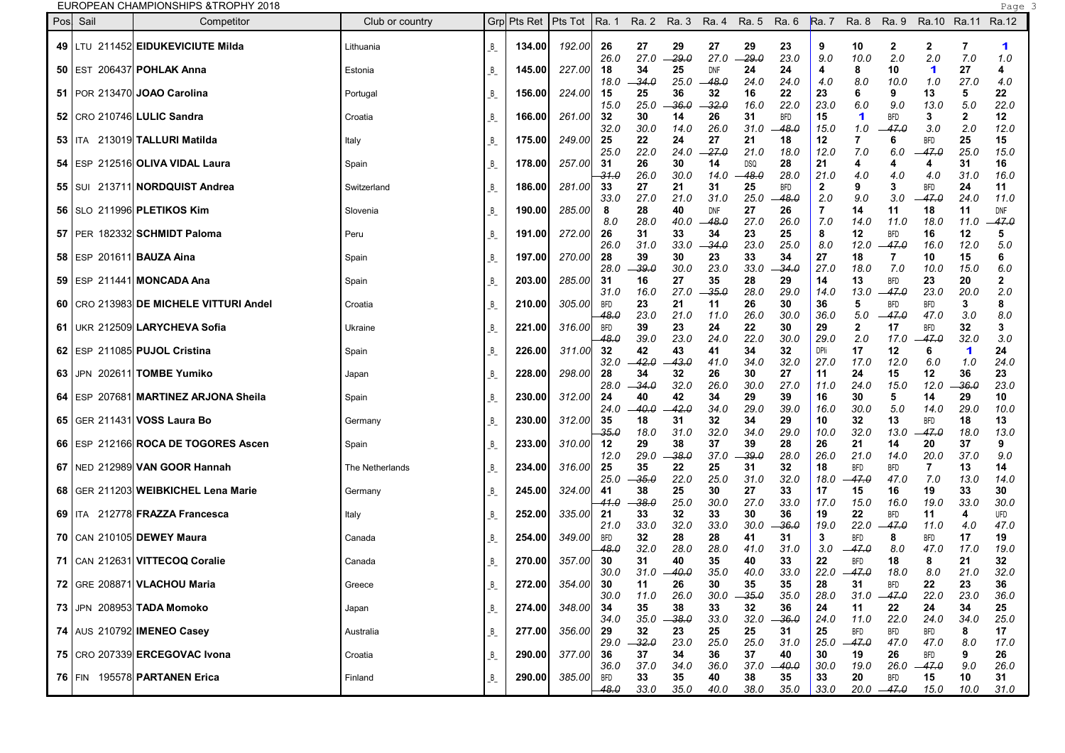EUROPEAN CHAMPIONSHIPS &TROPHY 2018 Page 3

| Pos Sail<br>Competitor                   | Club or country |         | Grp Pts Ret   Pts Tot |            | Ra. 1                      |                       | Ra. 2 Ra. 3 Ra. 4 Ra. 5 Ra. 6 |                            |                       |                       |                    | Ra. 7 Ra. 8 Ra. 9          |                                | Ra.10 Ra.11                |                     | Ra.12               |
|------------------------------------------|-----------------|---------|-----------------------|------------|----------------------------|-----------------------|-------------------------------|----------------------------|-----------------------|-----------------------|--------------------|----------------------------|--------------------------------|----------------------------|---------------------|---------------------|
| 49   LTU 211452 EIDUKEVICIUTE Milda      | Lithuania       | $B_{-}$ | 134.00                | 192.00     | 26<br>26.0                 | 27<br>27.0            | 29<br>-29.0                   | 27<br>27.0                 | 29<br>$-29.0$         | 23<br>23.0            | 9<br>9.0           | 10<br>10.0                 | $\mathbf{2}$<br>2.0            | $\mathbf{2}$<br>2.0        | 7<br>7.0            | 1<br>1.0            |
| 50   EST 206437 POHLAK Anna              | Estonia         | $B_{-}$ | 145.00                | 227.00     | 18                         | 34                    | 25                            | <b>DNF</b>                 | 24                    | 24                    | 4                  | 8                          | 10                             | 1                          | 27                  | 4                   |
| 51   POR 213470 JOAO Carolina            | Portugal        | $B_{-}$ | 156.00                | 224.00     | 18.0<br>15<br>15.0         | -34.0<br>25<br>25.0   | 25.0<br>36<br>36.0            | 48.0<br>32<br>-32.0        | 24.0<br>16<br>16.0    | 24.0<br>22<br>22.0    | 4.0<br>23<br>23.0  | 8.0<br>6<br>6.0            | 10.0<br>9<br>9.0               | 1.0<br>13<br>13.0          | 27.0<br>5<br>5.0    | 4.0<br>22<br>22.0   |
| 52   CRO 210746 LULIC Sandra             | Croatia         | $B_{-}$ | 166.00                | 261.00     | 32                         | 30                    | 14                            | 26                         | 31                    | BFD                   | 15                 | 1                          | <b>BFD</b>                     | 3                          | 2                   | 12                  |
| 53   ITA 213019 TALLURI Matilda          | Italy           | $B_{-}$ | 175.00                | 249.00     | 32.0<br>25<br>25.0         | 30.0<br>22<br>22.0    | 14.0<br>24<br>24.0            | 26.0<br>27<br>27.0         | 31.0<br>21<br>21.0    | $-48.0$<br>18<br>18.0 | 15.0<br>12<br>12.0 | 1.0<br>7.0                 | 47.0<br>6<br>6.0               | 3.0<br><b>BFD</b><br>-47.0 | 2.0<br>25<br>25.0   | 12.0<br>15<br>15.0  |
| 54 ESP 212516 OLIVA VIDAL Laura          | Spain           | $B_{-}$ | 178.00                | 257.00     | 31<br>31.0                 | 26<br>26.0            | 30<br>30.0                    | 14<br>14.0                 | <b>DSQ</b><br>48.0    | 28<br>28.0            | 21<br>21.0         | 4<br>4.0                   | 4<br>4.0                       | 4<br>4.0                   | 31<br>31.0          | 16<br>16.0          |
| 55   SUI 213711 <b>NORDQUIST Andrea</b>  | Switzerland     | B       | 186.00                | 281.00     | 33                         | 27                    | 21                            | 31                         | 25                    | BFD                   | $\mathbf{2}$       | 9                          | 3                              | <b>BFD</b>                 | 24                  | 11                  |
| 56   SLO 211996 PLETIKOS Kim             | Slovenia        | $B_{-}$ | 190.00                | 285.00     | 33.0<br>8<br>8.0           | 27.0<br>28<br>28.0    | 21.0<br>40<br>40.0            | 31.0<br><b>DNF</b><br>48.0 | 25.0<br>27<br>27.0    | -48.0<br>26<br>26.0   | 2.0<br>7<br>7.0    | 9.0<br>14<br>14.0          | 3.0<br>11<br>11.0              | $-47.0$<br>18<br>18.0      | 24.0<br>11<br>11.0  | 11.0<br>DNF<br>47.0 |
| 57   PER 182332 SCHMIDT Paloma           | Peru            | $B_{-}$ | 191.00                | 272.00     | 26<br>26.0                 | 31<br>31.0            | 33<br>33.0                    | 34<br>-34.0                | 23<br>23.0            | 25<br>25.0            | 8<br>8.0           | 12<br>12.0                 | <b>BFD</b><br>$-47.0$          | 16<br>16.0                 | 12<br>12.0          | 5<br>5.0            |
| 58   ESP 201611   <b>BAUZA Aina</b>      | Spain           | B       | 197.00                | 270.00     | 28                         | 39                    | 30                            | 23                         | 33                    | 34                    | 27                 | 18                         |                                | 10                         | 15                  |                     |
| 59   ESP 211441   MONCADA Ana            | Spain           | $B_{-}$ | 203.00                | 285.00     | 28.0<br>-31                | -39.0<br>16           | 30.0<br>27                    | 23.0<br>35                 | 33.0<br>28            | - 34.0<br>29          | 27.0<br>14         | 18.0<br>13                 | 7.0<br><b>BFD</b>              | 10.0<br>23                 | 15.0<br>20          | 6.0                 |
| 60   CRO 213983 DE MICHELE VITTURI Andel | Croatia         | B       | 210.00                | 305.00     | 31.0<br><b>BFD</b><br>48.0 | 16.0<br>23<br>23.0    | 27.0<br>21<br>21.0            | -35.0<br>11<br>11.0        | 28.0<br>26<br>26.0    | 29.0<br>30<br>30.0    | 14.0<br>36<br>36.0 | 13.0<br>5<br>5.0           | -- 47.0<br><b>BFD</b><br>-47.0 | 23.0<br><b>BFD</b><br>47.0 | 20.0<br>3<br>3.0    | 2.0<br>8<br>8.0     |
| 61   UKR 212509 LARYCHEVA Sofia          | Ukraine         | $B_{-}$ | 221.00                | 316.00     | <b>BFD</b>                 | 39                    | 23                            | 24                         | 22                    | 30                    | 29                 | $\overline{2}$             | 17                             | <b>BFD</b><br>$-47.0$      | 32                  | 3                   |
| 62 ESP 211085 PUJOL Cristina             | Spain           | $B_{-}$ | 226.00                | 311.00 32  | -48.0                      | 39.0<br>42            | 23.0<br>43                    | 24.0<br>41                 | 22.0<br>34            | 30.0<br>32            | 29.0<br>DPIi       | 2.0<br>17                  | 17.0<br>12                     | 6                          | 32.0<br>1           | 3.0<br>24           |
| 63 JPN 202611 TOMBE Yumiko               | Japan           | $B_{-}$ | 228.00                | 298.00     | 32.0<br>28                 | 42.0<br>34            | 43.0<br>32                    | 41.0<br>26                 | 34.0<br>30            | 32.0<br>27            | 27.0<br>11         | 17.0<br>24                 | 12.0<br>15                     | 6.0<br>12                  | 1.0<br>36           | 24.0<br>23          |
| 64 ESP 207681 MARTINEZ ARJONA Sheila     | Spain           | $B_{-}$ | 230.00                | 312.00     | 28.0<br>24<br>24.0         | - 34.0<br>40<br>-40.0 | 32.0<br>42<br>42.0            | 26.0<br>34<br>34.0         | 30.0<br>29<br>29.0    | 27.0<br>39<br>39.0    | 11.0<br>16<br>16.0 | 24.0<br>30<br>30.0         | 15.0<br>5<br>5.0               | 12.0<br>14<br>14.0         | -36.0<br>29<br>29.0 | 23.0<br>10<br>10.0  |
| 65   GER 211431 VOSS Laura Bo            | Germany         | B       | 230.00                | 312.00     | 35                         | 18                    | 31                            | 32                         | 34                    | 29                    | 10                 | 32                         | 13                             | <b>BFD</b>                 | 18                  | 13                  |
| 66 ESP 212166 ROCA DE TOGORES Ascen      | Spain           | B       | 233.00                | 310.00     | $-35.0$<br>12              | 18.0<br>29            | 31.0<br>38                    | 32.0<br>37                 | 34.0<br>39            | 29.0<br>28            | 10.0<br>26         | 32.0<br>21                 | 13.0<br>14                     | -- 47.0<br>20              | 18.0<br>37          | 13.0<br>9           |
| 67   NED 212989 VAN GOOR Hannah          | The Netherlands | B       | 234.00                | 316.00     | 12.0<br>25<br>25.0         | 29.0<br>35<br>-35.0   | 38.0<br>22<br>22.0            | 37.0<br>25<br>25.0         | -39.0<br>31<br>31.0   | 28.0<br>32<br>32.0    | 26.0<br>18<br>18.0 | 21.0<br><b>BFD</b><br>47.0 | 14.0<br><b>BFD</b><br>47.0     | 20.0<br>7<br>7.0           | 37.0<br>13<br>13.0  | 9.0<br>14<br>14.0   |
| 68 GER 211203 WEIBKICHEL Lena Marie      | Germany         | $B_{-}$ | 245.00                | 324.00     | 41                         | 38                    | 25                            | 30                         | 27                    | 33                    | 17                 | 15                         | 16                             | 19                         | 33                  | 30                  |
| 69   ITA 212778 FRAZZA Francesca         | Italy           | B       | 252.00                | 335.00     | -41.0<br>-21               | -38.0<br>33           | 25.0<br>32                    | 30.0<br>33                 | 27.0<br>30            | 33.0<br>36            | 17.0<br>19         | 15.0<br>22                 | 16.0<br><b>BFD</b>             | 19.0<br>11                 | 33.0<br>4           | 30.0<br>UFD         |
| 70   CAN 210105 DEWEY Maura              | Canada          | $B_{-}$ | 254.00                | 349.00     | 21.0<br><b>BFD</b><br>48.0 | 33.0<br>32<br>32.0    | 32.0<br>28<br>28.0            | 33.0<br>28<br>28.0         | 30.0<br>41<br>41.0    | -36.0<br>31<br>31.0   | 19.0<br>3<br>3.0   | 22.0<br><b>BFD</b><br>47.0 | -47.0<br>8<br>8.0              | 11.0<br><b>BFD</b><br>47.0 | 4.0<br>17<br>17.0   | 47.0<br>19<br>19.0  |
| 71   CAN 212631  VITTECOQ Coralie        | Canada          | $B_{-}$ | 270.00                | 357.00     | 30                         | 31                    | 40                            | 35                         | 40                    | 33                    | 22                 | <b>BFD</b>                 | 18                             | 8                          | 21                  | 32                  |
| 72   GRE 208871 VLACHOU Maria            | Greece          | $B_{-}$ | 272.00                | 354.00     | 30.0<br>30                 | 11                    | $31.0 - 40.0$<br>26           | 35.0<br>30                 | 40.0<br>35            | 33.0<br>35            | 22.0<br>28         | $-47.0$<br>31              | 18.0<br><b>BFD</b>             | 8.0<br>22                  | 21.0<br>23          | 32.0<br>36          |
| 73 JPN 208953 TADA Momoko                | Japan           | B       | 274.00                | 348.00     | 30.0<br>-34<br>34.0        | 11.0<br>35<br>35.0    | 26.0<br>38<br>$-38.0$         | 30.0<br>33<br>33.0         | $-35.0$<br>32<br>32.0 | 35.0<br>36<br>$-36.0$ | 28.0<br>24<br>24.0 | 31.0<br>11<br>11.0         | $-47.0$<br>22<br>22.0          | 22.0<br>24<br>24.0         | 23.0<br>34<br>34.0  | 36.0<br>25<br>25.0  |
| 74   AUS 210792 IMENEO Casey             | Australia       | B       | 277.00                | 356.00     | 29                         | 32                    | 23                            | 25                         | 25                    | 31                    | 25                 | <b>BFD</b>                 | <b>BFD</b>                     | <b>BFD</b>                 | 8                   | 17                  |
| 75   CRO 207339 ERCEGOVAC Ivona          | Croatia         | $B_{-}$ | 290.00                | 377.00     | 29.0<br>36                 | $-32.0$<br>37         | 23.0<br>34                    | 25.0<br>36                 | 25.0<br>37            | 31.0<br>40            | 25.0<br>30         | $-47.0$<br>19              | 47.0<br>26                     | 47.0<br><b>BFD</b>         | 8.0<br>9            | 17.0<br>26          |
| 76 FIN 195578 PARTANEN Erica             | Finland         | $B_{-}$ | 290.00                | 385.00 BFD | 36.0<br>-48.0              | 37.0<br>33<br>33.0    | 34.0<br>35<br>35.0            | 36.0<br>40<br>40.0         | 37.0<br>38<br>38.0    | $-40.0$<br>35<br>35.0 | 30.0<br>33<br>33.0 | 19.0<br>20                 | <b>BFD</b><br>$20.0 -47.0$     | $26.0 -47.0$<br>15<br>15.0 | 9.0<br>10<br>10.0   | 26.0<br>31<br>31.0  |